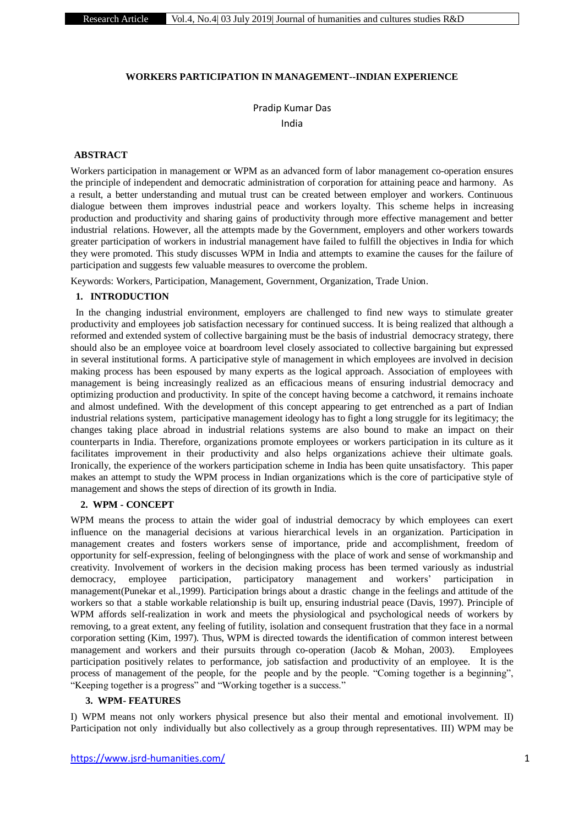#### **WORKERS PARTICIPATION IN MANAGEMENT--INDIAN EXPERIENCE**

Pradip Kumar Das

India

### **ABSTRACT**

Workers participation in management or WPM as an advanced form of labor management co-operation ensures the principle of independent and democratic administration of corporation for attaining peace and harmony.As a result, a better understanding and mutual trust can be created between employer and workers. Continuous dialogue between them improves industrial peace and workers loyalty. This scheme helps in increasing production and productivity and sharing gains of productivity through more effective management and better industrial relations. However, all the attempts made by the Government, employers and other workers towards greater participation of workers in industrial management have failed to fulfill the objectives in India for which they were promoted. This study discusses WPM in India and attempts to examine the causes for the failure of participation and suggests few valuable measures to overcome the problem.

Keywords: Workers, Participation, Management, Government, Organization, Trade Union.

#### **1. INTRODUCTION**

 In the changing industrial environment, employers are challenged to find new ways to stimulate greater productivity and employees job satisfaction necessary for continued success. It is being realized that although a reformed and extended system of collective bargaining must be the basis of industrial democracy strategy, there should also be an employee voice at boardroom level closely associated to collective bargaining but expressed in several institutional forms. A participative style of management in which employees are involved in decision making process has been espoused by many experts as the logical approach. Association of employees with management is being increasingly realized as an efficacious means of ensuring industrial democracy and optimizing production and productivity. In spite of the concept having become a catchword, it remains inchoate and almost undefined. With the development of this concept appearing to get entrenched as a part of Indian industrial relations system, participative management ideology has to fight a long struggle for its legitimacy; the changes taking place abroad in industrial relations systems are also bound to make an impact on their counterparts in India. Therefore, organizations promote employees or workers participation in its culture as it facilitates improvement in their productivity and also helps organizations achieve their ultimate goals. Ironically, the experience of the workers participation scheme in India has been quite unsatisfactory. This paper makes an attempt to study the WPM process in Indian organizations which is the core of participative style of management and shows the steps of direction of its growth in India.

### **2. WPM - CONCEPT**

WPM means the process to attain the wider goal of industrial democracy by which employees can exert influence on the managerial decisions at various hierarchical levels in an organization. Participation in management creates and fosters workers sense of importance, pride and accomplishment, freedom of opportunity for self-expression, feeling of belongingness with the place of work and sense of workmanship and creativity. Involvement of workers in the decision making process has been termed variously as industrial democracy, employee participation, participatory management and workers' participation in management(Punekar et al.,1999). Participation brings about a drastic change in the feelings and attitude of the workers so that a stable workable relationship is built up, ensuring industrial peace (Davis, 1997). Principle of WPM affords self-realization in work and meets the physiological and psychological needs of workers by removing, to a great extent, any feeling of futility, isolation and consequent frustration that they face in a normal corporation setting (Kim, 1997). Thus, WPM is directed towards the identification of common interest between management and workers and their pursuits through co-operation (Jacob & Mohan, 2003). Employees participation positively relates to performance, job satisfaction and productivity of an employee.It is the process of management of the people, for the people and by the people. "Coming together is a beginning", "Keeping together is a progress" and "Working together is a success."

#### **3. WPM- FEATURES**

I) WPM means not only workers physical presence but also their mental and emotional involvement. II) Participation not only individually but also collectively as a group through representatives. III) WPM may be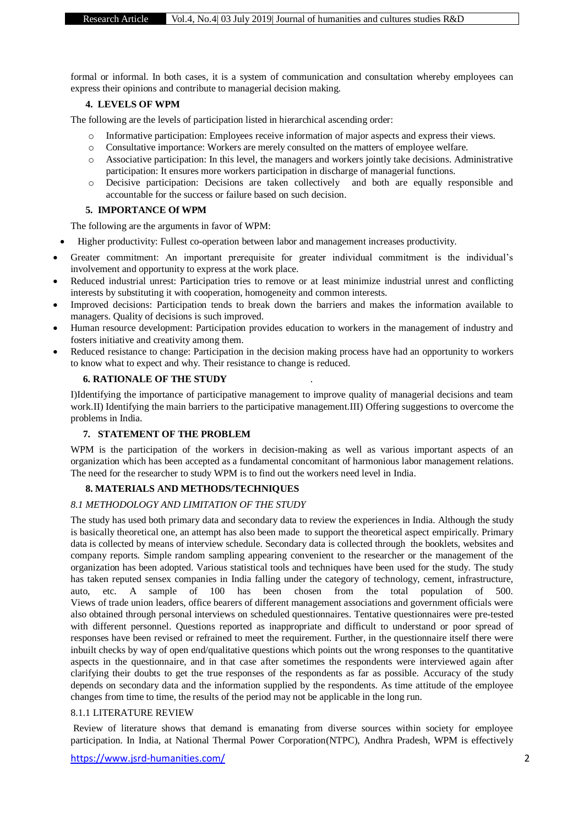formal or informal. In both cases, it is a system of communication and consultation whereby employees can express their opinions and contribute to managerial decision making.

# **4. LEVELS OF WPM**

The following are the levels of participation listed in hierarchical ascending order:

- o Informative participation: Employees receive information of major aspects and express their views.
- o Consultative importance: Workers are merely consulted on the matters of employee welfare.
- o Associative participation: In this level, the managers and workers jointly take decisions. Administrative participation: It ensures more workers participation in discharge of managerial functions.
- o Decisive participation: Decisions are taken collectively and both are equally responsible and accountable for the success or failure based on such decision.

## **5. IMPORTANCE Of WPM**

The following are the arguments in favor of WPM:

- Higher productivity: Fullest co-operation between labor and management increases productivity.
- Greater commitment: An important prerequisite for greater individual commitment is the individual's involvement and opportunity to express at the work place.
- Reduced industrial unrest: Participation tries to remove or at least minimize industrial unrest and conflicting interests by substituting it with cooperation, homogeneity and common interests.
- Improved decisions: Participation tends to break down the barriers and makes the information available to managers. Quality of decisions is such improved.
- Human resource development: Participation provides education to workers in the management of industry and fosters initiative and creativity among them.
- Reduced resistance to change: Participation in the decision making process have had an opportunity to workers to know what to expect and why. Their resistance to change is reduced.

# **6. RATIONALE OF THE STUDY** .

I)Identifying the importance of participative management to improve quality of managerial decisions and team work.II) Identifying the main barriers to the participative management.III) Offering suggestions to overcome the problems in India.

# **7. STATEMENT OF THE PROBLEM**

WPM is the participation of the workers in decision-making as well as various important aspects of an organization which has been accepted as a fundamental concomitant of harmonious labor management relations. The need for the researcher to study WPM is to find out the workers need level in India.

# **8. MATERIALS AND METHODS/TECHNIQUES**

# *8.1 METHODOLOGY AND LIMITATION OF THE STUDY*

The study has used both primary data and secondary data to review the experiences in India. Although the study is basically theoretical one, an attempt has also been made to support the theoretical aspect empirically. Primary data is collected by means of interview schedule. Secondary data is collected through the booklets, websites and company reports. Simple random sampling appearing convenient to the researcher or the management of the organization has been adopted. Various statistical tools and techniques have been used for the study. The study has taken reputed sensex companies in India falling under the category of technology, cement, infrastructure, auto, etc. A sample of 100 has been chosen from the total population of 500. Views of trade union leaders, office bearers of different management associations and government officials were also obtained through personal interviews on scheduled questionnaires. Tentative questionnaires were pre-tested with different personnel. Questions reported as inappropriate and difficult to understand or poor spread of responses have been revised or refrained to meet the requirement. Further, in the questionnaire itself there were inbuilt checks by way of open end/qualitative questions which points out the wrong responses to the quantitative aspects in the questionnaire, and in that case after sometimes the respondents were interviewed again after clarifying their doubts to get the true responses of the respondents as far as possible. Accuracy of the study depends on secondary data and the information supplied by the respondents. As time attitude of the employee changes from time to time, the results of the period may not be applicable in the long run.

# 8.1.1 LITERATURE REVIEW

Review of literature shows that demand is emanating from diverse sources within society for employee participation. In India, at National Thermal Power Corporation(NTPC), Andhra Pradesh, WPM is effectively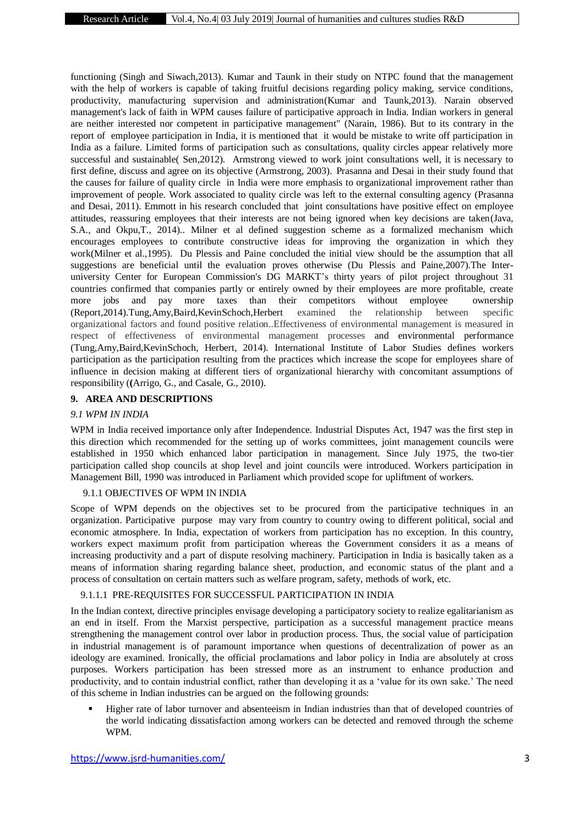functioning (Singh and Siwach,2013). Kumar and Taunk in their study on NTPC found that the management with the help of workers is capable of taking fruitful decisions regarding policy making, service conditions, productivity, manufacturing supervision and administration(Kumar and Taunk,2013). Narain observed management's lack of faith in WPM causes failure of participative approach in India. Indian workers in general are neither interested nor competent in participative management" (Narain, 1986). But to its contrary in the report of employee participation in India, it is mentioned that it would be mistake to write off participation in India as a failure. Limited forms of participation such as consultations, quality circles appear relatively more successful and sustainable( Sen,2012). Armstrong viewed to work joint consultations well, it is necessary to first define, discuss and agree on its objective (Armstrong, 2003).Prasanna and Desai in their study found that the causes for failure of quality circle in India were more emphasis to organizational improvement rather than improvement of people. Work associated to quality circle was left to the external consulting agency (Prasanna and Desai, 2011). Emmott in his research concluded that joint consultations have positive effect on employee attitudes, reassuring employees that their interests are not being ignored when key decisions are taken(Java, S.A., and Okpu,T., 2014).. Milner et al defined suggestion scheme as a formalized mechanism which encourages employees to contribute constructive ideas for improving the organization in which they work(Milner et al.,1995). Du Plessis and Paine concluded the initial view should be the assumption that all suggestions are beneficial until the evaluation proves otherwise (Du Plessis and Paine,2007).The Interuniversity Center for European Commission's DG MARKT's thirty years of pilot project throughout 31 countries confirmed that companies partly or entirely owned by their employees are more profitable, create more jobs and pay more taxes than their competitors without employee ownership (Report,2014).Tung,Amy,Baird,KevinSchoch,Herbert examined the relationship between specific organizational factors and found positive relation..Effectiveness of environmental management is measured in respect of effectiveness of environmental management processes and environmental performance (Tung,Amy,Baird,KevinSchoch, Herbert, 2014). International Institute of Labor Studies defines workers participation as the participation resulting from the practices which increase the scope for employees share of influence in decision making at different tiers of organizational hierarchy with concomitant assumptions of responsibility (**(**Arrigo, G., and Casale, G., 2010).

### **9. AREA AND DESCRIPTIONS**

#### *9.1 WPM IN INDIA*

WPM in India received importance only after Independence. Industrial Disputes Act, 1947 was the first step in this direction which recommended for the setting up of works committees, joint management councils were established in 1950 which enhanced labor participation in management. Since July 1975, the two-tier participation called shop councils at shop level and joint councils were introduced. Workers participation in Management Bill, 1990 was introduced in Parliament which provided scope for upliftment of workers.

### 9.1.1 OBJECTIVES OF WPM IN INDIA

Scope of WPM depends on the objectives set to be procured from the participative techniques in an organization. Participative purpose may vary from country to country owing to different political, social and economic atmosphere. In India, expectation of workers from participation has no exception. In this country, workers expect maximum profit from participation whereas the Government considers it as a means of increasing productivity and a part of dispute resolving machinery. Participation in India is basically taken as a means of information sharing regarding balance sheet, production, and economic status of the plant and a process of consultation on certain matters such as welfare program, safety, methods of work, etc.

### 9.1.1.1 PRE-REQUISITES FOR SUCCESSFUL PARTICIPATION IN INDIA

In the Indian context, directive principles envisage developing a participatory society to realize egalitarianism as an end in itself. From the Marxist perspective, participation as a successful management practice means strengthening the management control over labor in production process. Thus, the social value of participation in industrial management is of paramount importance when questions of decentralization of power as an ideology are examined. Ironically, the official proclamations and labor policy in India are absolutely at cross purposes. Workers participation has been stressed more as an instrument to enhance production and productivity, and to contain industrial conflict, rather than developing it as a 'value for its own sake.' The need of this scheme in Indian industries can be argued on the following grounds:

 Higher rate of labor turnover and absenteeism in Indian industries than that of developed countries of the world indicating dissatisfaction among workers can be detected and removed through the scheme WPM.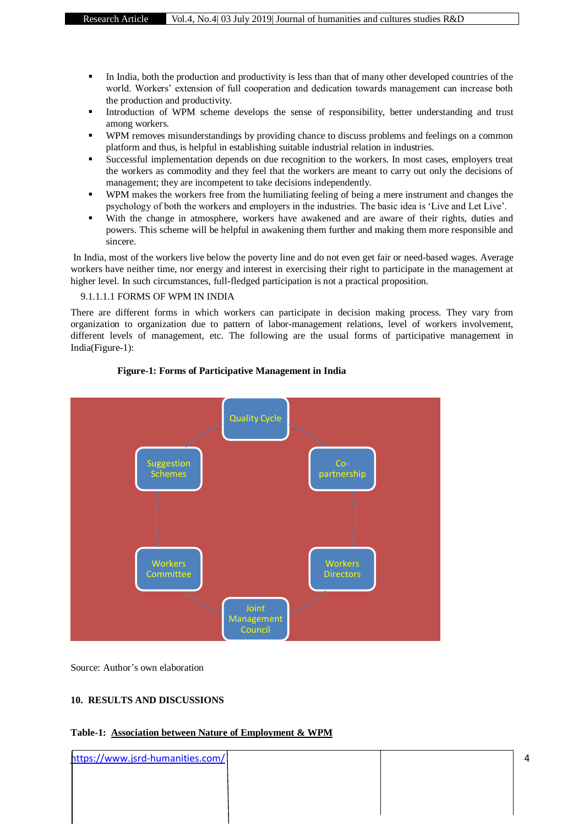- In India, both the production and productivity is less than that of many other developed countries of the world. Workers' extension of full cooperation and dedication towards management can increase both the production and productivity.
- Introduction of WPM scheme develops the sense of responsibility, better understanding and trust among workers.
- WPM removes misunderstandings by providing chance to discuss problems and feelings on a common platform and thus, is helpful in establishing suitable industrial relation in industries.
- Successful implementation depends on due recognition to the workers. In most cases, employers treat the workers as commodity and they feel that the workers are meant to carry out only the decisions of management; they are incompetent to take decisions independently.
- WPM makes the workers free from the humiliating feeling of being a mere instrument and changes the psychology of both the workers and employers in the industries. The basic idea is 'Live and Let Live'.
- With the change in atmosphere, workers have awakened and are aware of their rights, duties and powers. This scheme will be helpful in awakening them further and making them more responsible and sincere.

In India, most of the workers live below the poverty line and do not even get fair or need-based wages. Average workers have neither time, nor energy and interest in exercising their right to participate in the management at higher level. In such circumstances, full-fledged participation is not a practical proposition.

#### 9.1.1.1.1 FORMS OF WPM IN INDIA

There are different forms in which workers can participate in decision making process. They vary from organization to organization due to pattern of labor-management relations, level of workers involvement, different levels of management, etc. The following are the usual forms of participative management in India(Figure-1):



### **Figure-1: Forms of Participative Management in India**

Source: Author's own elaboration

#### **10. RESULTS AND DISCUSSIONS**

| Table-1: Association between Nature of Employment & WPM |  |
|---------------------------------------------------------|--|
|---------------------------------------------------------|--|

| https://www.jsrd-humanities.com/ |  |  |
|----------------------------------|--|--|
|                                  |  |  |
|                                  |  |  |
|                                  |  |  |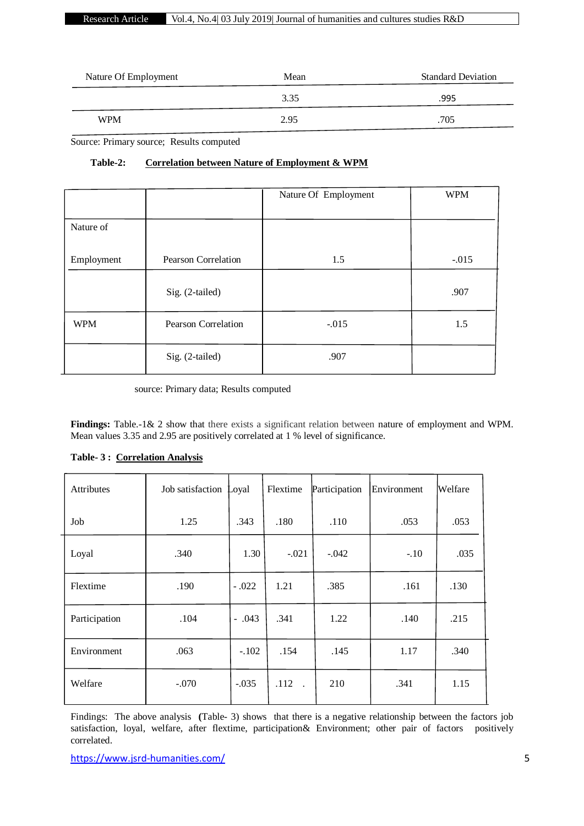# Research Article Vol.4, No.4| 03 July 2019| Journal of humanities and cultures studies R&D

| Nature Of Employment | Mean | <b>Standard Deviation</b> |
|----------------------|------|---------------------------|
|                      | 3.35 | .995                      |
| <b>WPM</b>           | 2.95 | .705                      |

Source: Primary source; Results computed

# **Table-2: Correlation between Nature of Employment & WPM**

|            |                            | Nature Of Employment | <b>WPM</b> |
|------------|----------------------------|----------------------|------------|
|            |                            |                      |            |
| Nature of  |                            |                      |            |
|            |                            |                      |            |
| Employment | <b>Pearson Correlation</b> | 1.5                  | $-.015$    |
|            |                            |                      |            |
|            | Sig. (2-tailed)            |                      | .907       |
| <b>WPM</b> | Pearson Correlation        | $-.015$              | 1.5        |
|            | Sig. (2-tailed)            | .907                 |            |

# source: Primary data; Results computed

Findings: Table.-1& 2 show that there exists a significant relation between nature of employment and WPM. Mean values 3.35 and 2.95 are positively correlated at 1 % level of significance.

| <b>Attributes</b> | Job satisfaction | Loyal   | Flextime | Participation | Environment | Welfare |
|-------------------|------------------|---------|----------|---------------|-------------|---------|
| Job               | 1.25             | .343    | .180     | .110          | .053        | .053    |
| Loyal             | .340             | 1.30    | $-.021$  | $-.042$       | $-.10$      | .035    |
| Flextime          | .190             | $-.022$ | 1.21     | .385          | .161        | .130    |
| Participation     | .104             | $-.043$ | .341     | 1.22          | .140        | .215    |
| Environment       | .063             | $-.102$ | .154     | .145          | 1.17        | .340    |
| Welfare           | $-.070$          | $-.035$ | $.112$ . | 210           | .341        | 1.15    |

## **Table- 3 : Correlation Analysis**

Findings: The above analysis **(**Table- 3) shows that there is a negative relationship between the factors job satisfaction, loyal, welfare, after flextime, participation& Environment; other pair of factors positively correlated.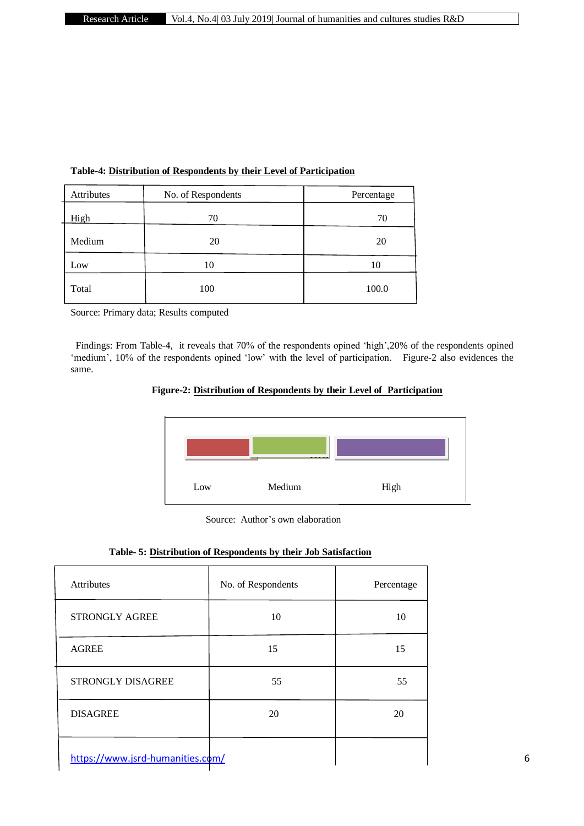| Attributes | No. of Respondents | Percentage |
|------------|--------------------|------------|
| High       | 70                 | 70         |
| Medium     | 20                 | 20         |
| Low        | 10                 | 10         |
| Total      | 100                | 100.0      |

# **Table-4: Distribution of Respondents by their Level of Participation**

Source: Primary data; Results computed

 Findings: From Table-4, it reveals that 70% of the respondents opined 'high',20% of the respondents opined 'medium', 10% of the respondents opined 'low' with the level of participation. Figure-2 also evidences the same.





| Table- 5: Distribution of Respondents by their Job Satisfaction |  |  |  |
|-----------------------------------------------------------------|--|--|--|
|                                                                 |  |  |  |

| Attributes                       | No. of Respondents | Percentage |
|----------------------------------|--------------------|------------|
| STRONGLY AGREE                   | 10                 | 10         |
| <b>AGREE</b>                     | 15                 | 15         |
| STRONGLY DISAGREE                | 55                 | 55         |
| <b>DISAGREE</b>                  | 20                 | 20         |
| https://www.jsrd-humanities.com/ |                    |            |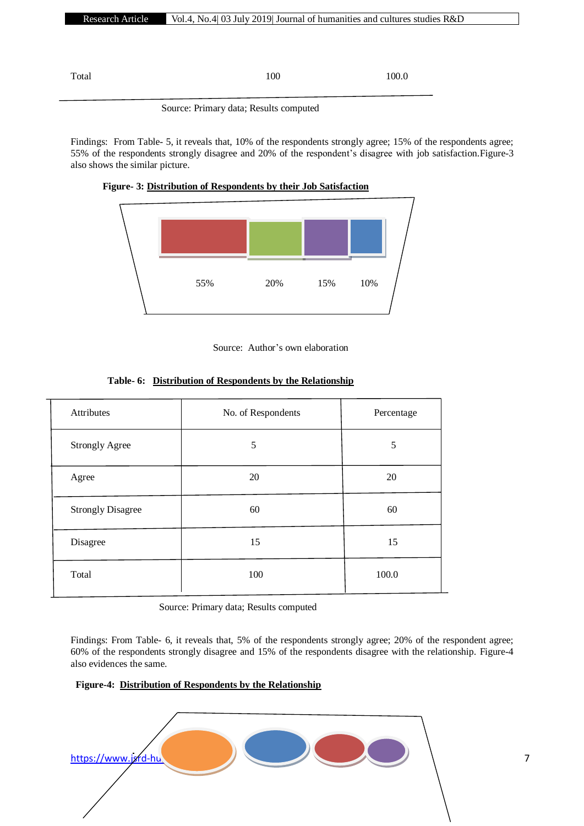Total 100.0

## Source: Primary data; Results computed

Findings: From Table- 5, it reveals that, 10% of the respondents strongly agree; 15% of the respondents agree; 55% of the respondents strongly disagree and 20% of the respondent's disagree with job satisfaction.Figure-3 also shows the similar picture.





| Attributes               | No. of Respondents | Percentage |
|--------------------------|--------------------|------------|
| <b>Strongly Agree</b>    | 5                  | 5          |
| Agree                    | 20                 | 20         |
| <b>Strongly Disagree</b> | 60                 | 60         |
| Disagree                 | 15                 | 15         |
| Total                    | 100                | 100.0      |

# **Table- 6: Distribution of Respondents by the Relationship**

Source: Primary data; Results computed

Findings: From Table- 6, it reveals that, 5% of the respondents strongly agree; 20% of the respondent agree; 60% of the respondents strongly disagree and 15% of the respondents disagree with the relationship. Figure-4 also evidences the same.

# **Figure-4: Distribution of Respondents by the Relationship**

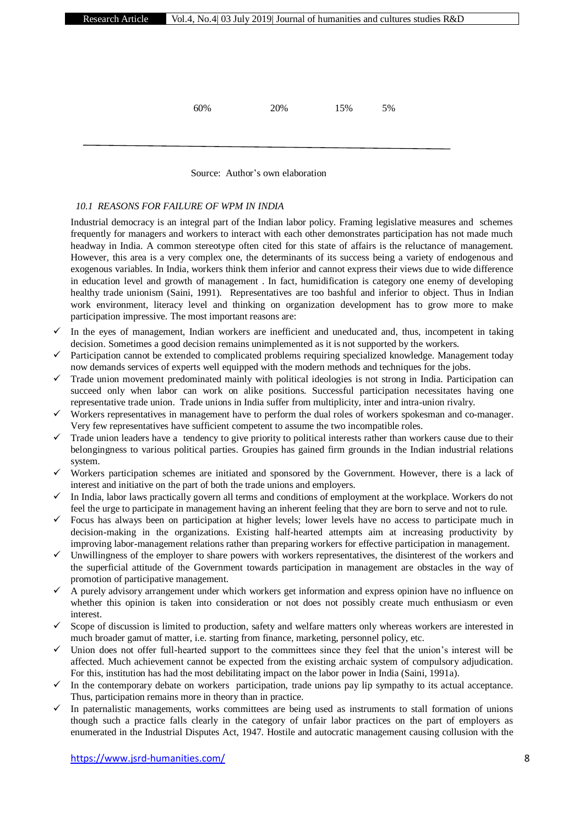60% 20% 15% 5%

Source: Author's own elaboration

### *10.1 REASONS FOR FAILURE OF WPM IN INDIA*

Industrial democracy is an integral part of the Indian labor policy. Framing legislative measures and schemes frequently for managers and workers to interact with each other demonstrates participation has not made much headway in India. A common stereotype often cited for this state of affairs is the reluctance of management. However, this area is a very complex one, the determinants of its success being a variety of endogenous and exogenous variables. In India, workers think them inferior and cannot express their views due to wide difference in education level and growth of management . In fact, humidification is category one enemy of developing healthy trade unionism (Saini, 1991). Representatives are too bashful and inferior to object. Thus in Indian work environment, literacy level and thinking on organization development has to grow more to make participation impressive. The most important reasons are:

- In the eyes of management, Indian workers are inefficient and uneducated and, thus, incompetent in taking decision. Sometimes a good decision remains unimplemented as it is not supported by the workers.
- $\checkmark$  Participation cannot be extended to complicated problems requiring specialized knowledge. Management today now demands services of experts well equipped with the modern methods and techniques for the jobs.
- $\checkmark$  Trade union movement predominated mainly with political ideologies is not strong in India. Participation can succeed only when labor can work on alike positions. Successful participation necessitates having one representative trade union. Trade unions in India suffer from multiplicity, inter and intra-union rivalry.
- $\checkmark$  Workers representatives in management have to perform the dual roles of workers spokesman and co-manager. Very few representatives have sufficient competent to assume the two incompatible roles.
- $\checkmark$  Trade union leaders have a tendency to give priority to political interests rather than workers cause due to their belongingness to various political parties. Groupies has gained firm grounds in the Indian industrial relations system.
- $\checkmark$  Workers participation schemes are initiated and sponsored by the Government. However, there is a lack of interest and initiative on the part of both the trade unions and employers.
- $\checkmark$  In India, labor laws practically govern all terms and conditions of employment at the workplace. Workers do not feel the urge to participate in management having an inherent feeling that they are born to serve and not to rule.
- $\checkmark$  Focus has always been on participation at higher levels; lower levels have no access to participate much in decision-making in the organizations. Existing half-hearted attempts aim at increasing productivity by improving labor-management relations rather than preparing workers for effective participation in management.
- $\checkmark$  Unwillingness of the employer to share powers with workers representatives, the disinterest of the workers and the superficial attitude of the Government towards participation in management are obstacles in the way of promotion of participative management.
- $\checkmark$  A purely advisory arrangement under which workers get information and express opinion have no influence on whether this opinion is taken into consideration or not does not possibly create much enthusiasm or even interest.
- $\checkmark$  Scope of discussion is limited to production, safety and welfare matters only whereas workers are interested in much broader gamut of matter, i.e. starting from finance, marketing, personnel policy, etc.
- $\checkmark$  Union does not offer full-hearted support to the committees since they feel that the union's interest will be affected. Much achievement cannot be expected from the existing archaic system of compulsory adjudication. For this, institution has had the most debilitating impact on the labor power in India (Saini, 1991a).
- In the contemporary debate on workers participation, trade unions pay lip sympathy to its actual acceptance. Thus, participation remains more in theory than in practice.
- In paternalistic managements, works committees are being used as instruments to stall formation of unions though such a practice falls clearly in the category of unfair labor practices on the part of employers as enumerated in the Industrial Disputes Act, 1947. Hostile and autocratic management causing collusion with the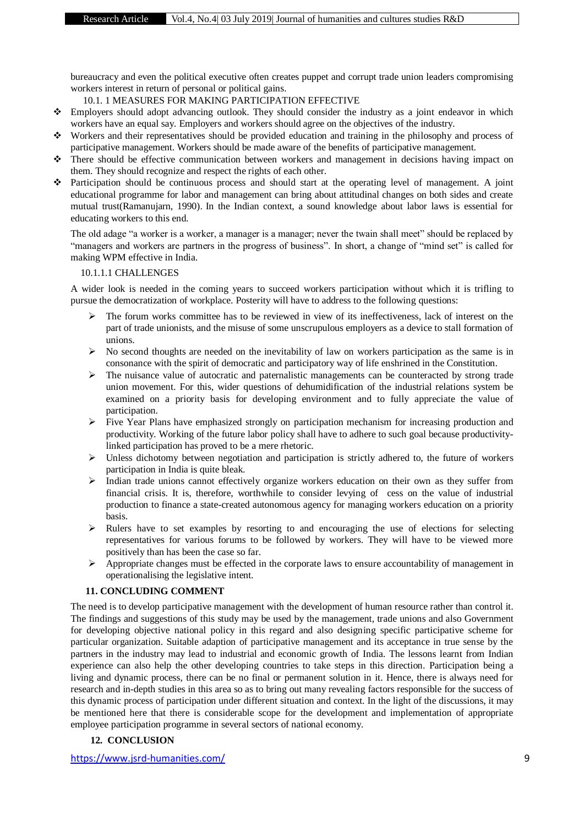bureaucracy and even the political executive often creates puppet and corrupt trade union leaders compromising workers interest in return of personal or political gains.

10.1. 1 MEASURES FOR MAKING PARTICIPATION EFFECTIVE

- Employers should adopt advancing outlook. They should consider the industry as a joint endeavor in which workers have an equal say. Employers and workers should agree on the objectives of the industry.
- Workers and their representatives should be provided education and training in the philosophy and process of participative management. Workers should be made aware of the benefits of participative management.
- There should be effective communication between workers and management in decisions having impact on them. They should recognize and respect the rights of each other.
- Participation should be continuous process and should start at the operating level of management. A joint educational programme for labor and management can bring about attitudinal changes on both sides and create mutual trust(Ramanujarn, 1990). In the Indian context, a sound knowledge about labor laws is essential for educating workers to this end.

The old adage "a worker is a worker, a manager is a manager; never the twain shall meet" should be replaced by "managers and workers are partners in the progress of business". In short, a change of "mind set" is called for making WPM effective in India.

# 10.1.1.1 CHALLENGES

A wider look is needed in the coming years to succeed workers participation without which it is trifling to pursue the democratization of workplace. Posterity will have to address to the following questions:

- The forum works committee has to be reviewed in view of its ineffectiveness, lack of interest on the part of trade unionists, and the misuse of some unscrupulous employers as a device to stall formation of unions.
- $\triangleright$  No second thoughts are needed on the inevitability of law on workers participation as the same is in consonance with the spirit of democratic and participatory way of life enshrined in the Constitution.
- $\triangleright$  The nuisance value of autocratic and paternalistic managements can be counteracted by strong trade union movement. For this, wider questions of dehumidification of the industrial relations system be examined on a priority basis for developing environment and to fully appreciate the value of participation.
- Five Year Plans have emphasized strongly on participation mechanism for increasing production and productivity. Working of the future labor policy shall have to adhere to such goal because productivitylinked participation has proved to be a mere rhetoric.
- $\triangleright$  Unless dichotomy between negotiation and participation is strictly adhered to, the future of workers participation in India is quite bleak.
- $\triangleright$  Indian trade unions cannot effectively organize workers education on their own as they suffer from financial crisis. It is, therefore, worthwhile to consider levying of cess on the value of industrial production to finance a state-created autonomous agency for managing workers education on a priority basis.
- $\triangleright$  Rulers have to set examples by resorting to and encouraging the use of elections for selecting representatives for various forums to be followed by workers. They will have to be viewed more positively than has been the case so far.
- $\triangleright$  Appropriate changes must be effected in the corporate laws to ensure accountability of management in operationalising the legislative intent.

# **11. CONCLUDING COMMENT**

The need is to develop participative management with the development of human resource rather than control it. The findings and suggestions of this study may be used by the management, trade unions and also Government for developing objective national policy in this regard and also designing specific participative scheme for particular organization. Suitable adaption of participative management and its acceptance in true sense by the partners in the industry may lead to industrial and economic growth of India. The lessons learnt from Indian experience can also help the other developing countries to take steps in this direction. Participation being a living and dynamic process, there can be no final or permanent solution in it. Hence, there is always need for research and in-depth studies in this area so as to bring out many revealing factors responsible for the success of this dynamic process of participation under different situation and context. In the light of the discussions, it may be mentioned here that there is considerable scope for the development and implementation of appropriate employee participation programme in several sectors of national economy.

# **12. CONCLUSION**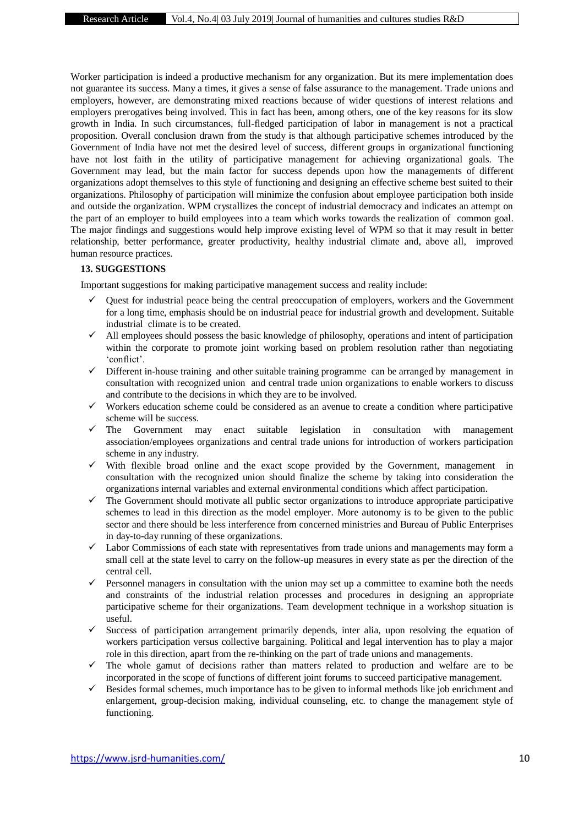Worker participation is indeed a productive mechanism for any organization. But its mere implementation does not guarantee its success. Many a times, it gives a sense of false assurance to the management. Trade unions and employers, however, are demonstrating mixed reactions because of wider questions of interest relations and employers prerogatives being involved. This in fact has been, among others, one of the key reasons for its slow growth in India. In such circumstances, full-fledged participation of labor in management is not a practical proposition. Overall conclusion drawn from the study is that although participative schemes introduced by the Government of India have not met the desired level of success, different groups in organizational functioning have not lost faith in the utility of participative management for achieving organizational goals. The Government may lead, but the main factor for success depends upon how the managements of different organizations adopt themselves to this style of functioning and designing an effective scheme best suited to their organizations. Philosophy of participation will minimize the confusion about employee participation both inside and outside the organization. WPM crystallizes the concept of industrial democracy and indicates an attempt on the part of an employer to build employees into a team which works towards the realization of common goal. The major findings and suggestions would help improve existing level of WPM so that it may result in better relationship, better performance, greater productivity, healthy industrial climate and, above all, improved human resource practices.

### **13. SUGGESTIONS**

Important suggestions for making participative management success and reality include:

- Quest for industrial peace being the central preoccupation of employers, workers and the Government for a long time, emphasis should be on industrial peace for industrial growth and development. Suitable industrial climate is to be created.
- All employees should possess the basic knowledge of philosophy, operations and intent of participation within the corporate to promote joint working based on problem resolution rather than negotiating 'conflict'.
- $\checkmark$  Different in-house training and other suitable training programme can be arranged by management in consultation with recognized union and central trade union organizations to enable workers to discuss and contribute to the decisions in which they are to be involved.
- $\checkmark$  Workers education scheme could be considered as an avenue to create a condition where participative scheme will be success.
- The Government may enact suitable legislation in consultation with management association/employees organizations and central trade unions for introduction of workers participation scheme in any industry.
- $\checkmark$  With flexible broad online and the exact scope provided by the Government, management in consultation with the recognized union should finalize the scheme by taking into consideration the organizations internal variables and external environmental conditions which affect participation.
- $\checkmark$  The Government should motivate all public sector organizations to introduce appropriate participative schemes to lead in this direction as the model employer. More autonomy is to be given to the public sector and there should be less interference from concerned ministries and Bureau of Public Enterprises in day-to-day running of these organizations.
- $\checkmark$  Labor Commissions of each state with representatives from trade unions and managements may form a small cell at the state level to carry on the follow-up measures in every state as per the direction of the central cell.
- $\checkmark$  Personnel managers in consultation with the union may set up a committee to examine both the needs and constraints of the industrial relation processes and procedures in designing an appropriate participative scheme for their organizations. Team development technique in a workshop situation is useful.
- $\checkmark$  Success of participation arrangement primarily depends, inter alia, upon resolving the equation of workers participation versus collective bargaining. Political and legal intervention has to play a major role in this direction, apart from the re-thinking on the part of trade unions and managements.
- $\checkmark$  The whole gamut of decisions rather than matters related to production and welfare are to be incorporated in the scope of functions of different joint forums to succeed participative management.
- Besides formal schemes, much importance has to be given to informal methods like job enrichment and enlargement, group-decision making, individual counseling, etc. to change the management style of functioning.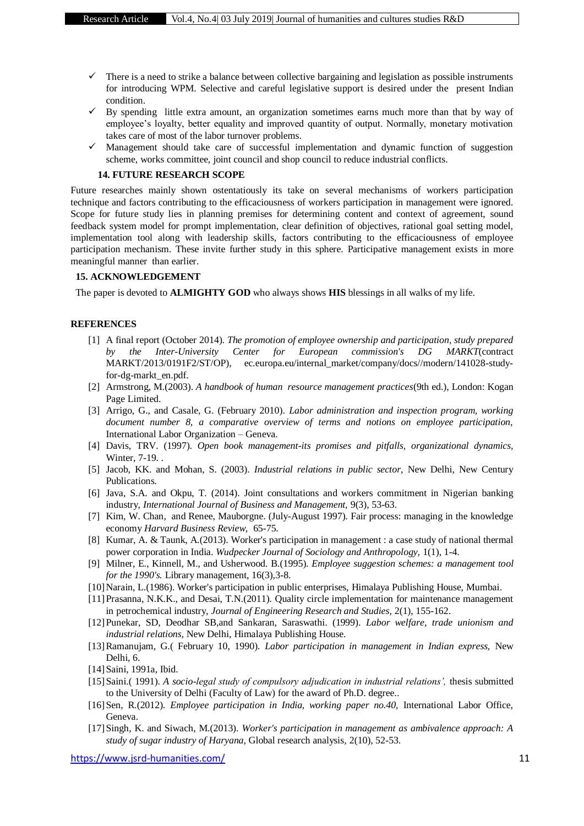- $\checkmark$  There is a need to strike a balance between collective bargaining and legislation as possible instruments for introducing WPM. Selective and careful legislative support is desired under the present Indian condition.
- $\checkmark$  By spending little extra amount, an organization sometimes earns much more than that by way of employee's loyalty, better equality and improved quantity of output. Normally, monetary motivation takes care of most of the labor turnover problems.
- $\checkmark$  Management should take care of successful implementation and dynamic function of suggestion scheme, works committee, joint council and shop council to reduce industrial conflicts.

#### **14. FUTURE RESEARCH SCOPE**

Future researches mainly shown ostentatiously its take on several mechanisms of workers participation technique and factors contributing to the efficaciousness of workers participation in management were ignored. Scope for future study lies in planning premises for determining content and context of agreement, sound feedback system model for prompt implementation, clear definition of objectives, rational goal setting model, implementation tool along with leadership skills, factors contributing to the efficaciousness of employee participation mechanism. These invite further study in this sphere. Participative management exists in more meaningful manner than earlier.

#### **15. ACKNOWLEDGEMENT**

The paper is devoted to **ALMIGHTY GOD** who always shows **HIS** blessings in all walks of my life.

#### **REFERENCES**

- [1] A final report (October 2014). *The promotion of employee ownership and participation, study prepared by the Inter-University Center for European commission's DG MARKT*(contract MARKT/2013/0191F2/ST/OP), ec.europa.eu/internal\_market/company/docs//modern/141028-studyfor-dg-markt\_en.pdf.
- [2] Armstrong, M.(2003). *A handbook of human resource management practices*(9th ed.), London: Kogan Page Limited.
- [3] Arrigo, G., and Casale, G. (February 2010). *Labor administration and inspection program, working document number 8, a comparative overview of terms and notions on employee participation,* International Labor Organization – Geneva.
- [4] Davis, TRV. (1997). *Open book management-its promises and pitfalls, organizational dynamics,* Winter, 7-19. .
- [5] Jacob, KK. and Mohan, S. (2003). *Industrial relations in public sector,* New Delhi, New Century Publications.
- [6] Java, S.A. and Okpu, T. (2014). Joint consultations and workers commitment in Nigerian banking industry, *International Journal of Business and Management,* 9(3), 53-63.
- [7] Kim, W. Chan, and Renee, Mauborgne. (July-August 1997). Fair process: managing in the knowledge economy *Harvard Business Review,* 65-75.
- [8] Kumar, A. & Taunk, A.(2013). Worker's participation in management : a case study of national thermal power corporation in India. *Wudpecker Journal of Sociology and Anthropology,* 1(1), 1-4.
- [9] Milner, E., Kinnell, M., and Usherwood. B.(1995). *Employee suggestion schemes: a management tool for the 1990's.* Library management, 16(3),3-8.
- [10]Narain, L.(1986). Worker's participation in public enterprises, Himalaya Publishing House, Mumbai.
- [11]Prasanna, N.K.K., and Desai, T.N.(2011). Quality circle implementation for maintenance management in petrochemical industry, *Journal of Engineering Research and Studies,* 2(1), 155-162.
- [12]Punekar, SD, Deodhar SB,and Sankaran, Saraswathi. (1999). *Labor welfare, trade unionism and industrial relations,* New Delhi, Himalaya Publishing House.
- [13]Ramanujam, G.( February 10, 1990). *Labor participation in management in Indian express,* New Delhi, 6.
- [14]Saini, 1991a, Ibid.
- [15]Saini.( 1991). *A socio-legal study of compulsory adjudication in industrial relations',* thesis submitted to the University of Delhi (Faculty of Law) for the award of Ph.D. degree..
- [16]Sen, R.(2012). *Employee participation in India, working paper no.40,* International Labor Office, Geneva.
- [17]Singh, K. and Siwach, M.(2013). *Worker's participation in management as ambivalence approach: A study of sugar industry of Haryana,* Global research analysis*,* 2(10), 52-53.

<https://www.jsrd-humanities.com/> 11